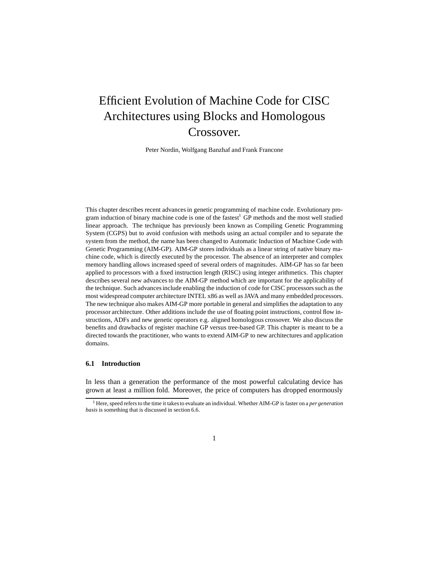# Efficient Evolution of Machine Code for CISC Architectures using Blocks and Homologous Crossover.

Peter Nordin, Wolfgang Banzhaf and Frank Francone

This chapter describes recent advances in genetic programming of machine code. Evolutionary program induction of binary machine code is one of the fastest<sup>1</sup> GP methods and the most well studied linear approach. The technique has previously been known as Compiling Genetic Programming System (CGPS) but to avoid confusion with methods using an actual compiler and to separate the system from the method, the name has been changed to Automatic Induction of Machine Code with Genetic Programming (AIM-GP). AIM-GP stores individuals as a linear string of native binary machine code, which is directly executed by the processor. The absence of an interpreter and complex memory handling allows increased speed of several orders of magnitudes. AIM-GP has so far been applied to processors with a fixed instruction length (RISC) using integer arithmetics. This chapter describes several new advances to the AIM-GP method which are important for the applicability of the technique. Such advances include enabling the induction of code for CISC processors such as the most widespread computer architecture INTEL x86 as well as JAVA and many embedded processors. The new technique also makes AIM-GP more portable in general and simplifies the adaptation to any processor architecture. Other additions include the use of floating point instructions, control flow instructions, ADFs and new genetic operators e.g. aligned homologous crossover. We also discuss the benefits and drawbacks of register machine GP versus tree-based GP. This chapter is meant to be a directed towards the practitioner, who wants to extend AIM-GP to new architectures and application domains.

# **6.1 Introduction**

In less than a generation the performance of the most powerful calculating device has grown at least a million fold. Moreover, the price of computers has dropped enormously

<sup>1</sup> Here, speed refers to the time it takes to evaluate an individual. Whether AIM-GP is faster on a *per generation basis* is something that is discussed in section 6.6.

<sup>1</sup>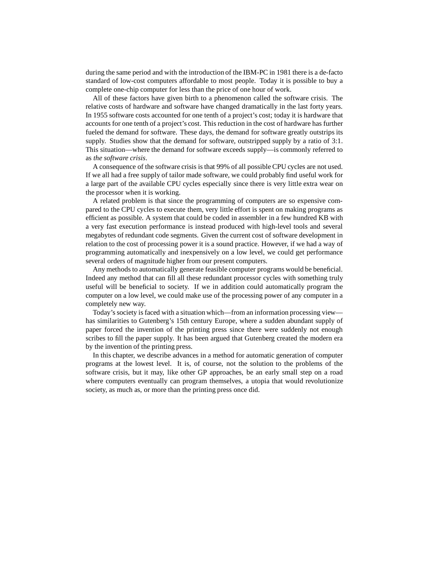during the same period and with the introduction of the IBM-PC in 1981 there is a de-facto standard of low-cost computers affordable to most people. Today it is possible to buy a complete one-chip computer for less than the price of one hour of work.

All of these factors have given birth to a phenomenon called the software crisis. The relative costs of hardware and software have changed dramatically in the last forty years. In 1955 software costs accounted for one tenth of a project's cost; today it is hardware that accounts for one tenth of a project's cost. This reduction in the cost of hardware has further fueled the demand for software. These days, the demand for software greatly outstrips its supply. Studies show that the demand for software, outstripped supply by a ratio of 3:1. This situation—where the demand for software exceeds supply—is commonly referred to as *the software crisis*.

A consequence of the software crisis is that 99% of all possible CPU cycles are not used. If we all had a free supply of tailor made software, we could probably find useful work for a large part of the available CPU cycles especially since there is very little extra wear on the processor when it is working.

A related problem is that since the programming of computers are so expensive compared to the CPU cycles to execute them, very little effort is spent on making programs as efficient as possible. A system that could be coded in assembler in a few hundred KB with a very fast execution performance is instead produced with high-level tools and several megabytes of redundant code segments. Given the current cost of software development in relation to the cost of processing power it is a sound practice. However, if we had a way of programming automatically and inexpensively on a low level, we could get performance several orders of magnitude higher from our present computers.

Any methods to automatically generate feasible computer programs would be beneficial. Indeed any method that can fill all these redundant processor cycles with something truly useful will be beneficial to society. If we in addition could automatically program the computer on a low level, we could make use of the processing power of any computer in a completely new way.

Today's society is faced with a situation which—from an information processing view has similarities to Gutenberg's 15th century Europe, where a sudden abundant supply of paper forced the invention of the printing press since there were suddenly not enough scribes to fill the paper supply. It has been argued that Gutenberg created the modern era by the invention of the printing press.

In this chapter, we describe advances in a method for automatic generation of computer programs at the lowest level. It is, of course, not the solution to the problems of the software crisis, but it may, like other GP approaches, be an early small step on a road where computers eventually can program themselves, a utopia that would revolutionize society, as much as, or more than the printing press once did.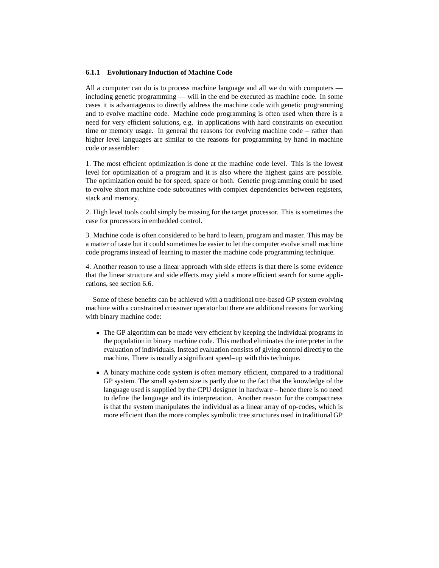## **6.1.1 Evolutionary Induction of Machine Code**

All a computer can do is to process machine language and all we do with computers including genetic programming — will in the end be executed as machine code. In some cases it is advantageous to directly address the machine code with genetic programming and to evolve machine code. Machine code programming is often used when there is a need for very efficient solutions, e.g. in applications with hard constraints on execution time or memory usage. In general the reasons for evolving machine code – rather than higher level languages are similar to the reasons for programming by hand in machine code or assembler:

1. The most efficient optimization is done at the machine code level. This is the lowest level for optimization of a program and it is also where the highest gains are possible. The optimization could be for speed, space or both. Genetic programming could be used to evolve short machine code subroutines with complex dependencies between registers, stack and memory.

2. High level tools could simply be missing for the target processor. This is sometimes the case for processors in embedded control.

3. Machine code is often considered to be hard to learn, program and master. This may be a matter of taste but it could sometimes be easier to let the computer evolve small machine code programs instead of learning to master the machine code programming technique.

4. Another reason to use a linear approach with side effects is that there is some evidence that the linear structure and side effects may yield a more efficient search for some applications, see section 6.6.

Some of these benefits can be achieved with a traditional tree-based GP system evolving machine with a constrained crossover operator but there are additional reasons for working with binary machine code:

- The GP algorithm can be made very efficient by keeping the individual programs in the population in binary machine code. This method eliminates the interpreter in the evaluation of individuals. Instead evaluation consists of giving control directly to the machine. There is usually a significant speed–up with this technique.
- A binary machine code system is often memory efficient, compared to a traditional GP system. The small system size is partly due to the fact that the knowledge of the language used is supplied by the CPU designer in hardware – hence there is no need to define the language and its interpretation. Another reason for the compactness is that the system manipulates the individual as a linear array of op-codes, which is more efficient than the more complex symbolic tree structures used in traditional GP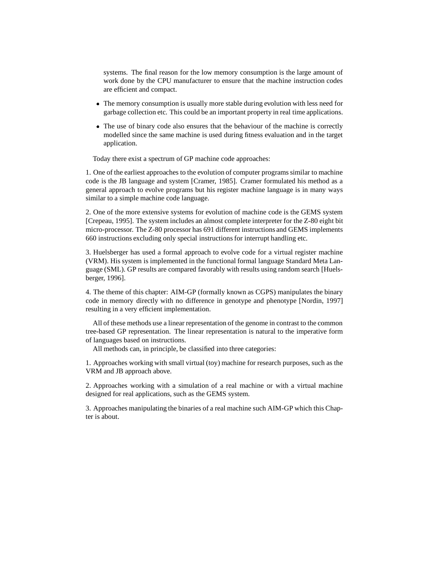systems. The final reason for the low memory consumption is the large amount of work done by the CPU manufacturer to ensure that the machine instruction codes are efficient and compact.

- The memory consumption is usually more stable during evolution with less need for garbage collection etc. This could be an important property in real time applications.
- The use of binary code also ensures that the behaviour of the machine is correctly modelled since the same machine is used during fitness evaluation and in the target application.

Today there exist a spectrum of GP machine code approaches:

1. One of the earliest approaches to the evolution of computer programs similar to machine code is the JB language and system [Cramer, 1985]. Cramer formulated his method as a general approach to evolve programs but his register machine language is in many ways similar to a simple machine code language.

2. One of the more extensive systems for evolution of machine code is the GEMS system [Crepeau, 1995]. The system includes an almost complete interpreter for the Z-80 eight bit micro-processor. The Z-80 processor has 691 different instructions and GEMS implements 660 instructions excluding only special instructions for interrupt handling etc.

3. Huelsberger has used a formal approach to evolve code for a virtual register machine (VRM). His system is implemented in the functional formal language Standard Meta Language (SML). GP results are compared favorably with results using random search [Huelsberger, 1996].

4. The theme of this chapter: AIM-GP (formally known as CGPS) manipulates the binary code in memory directly with no difference in genotype and phenotype [Nordin, 1997] resulting in a very efficient implementation.

All of these methods use a linear representation of the genome in contrast to the common tree-based GP representation. The linear representation is natural to the imperative form of languages based on instructions.

All methods can, in principle, be classified into three categories:

1. Approaches working with small virtual (toy) machine for research purposes, such as the VRM and JB approach above.

2. Approaches working with a simulation of a real machine or with a virtual machine designed for real applications, such as the GEMS system.

3. Approaches manipulating the binaries of a real machine such AIM-GP which this Chapter is about.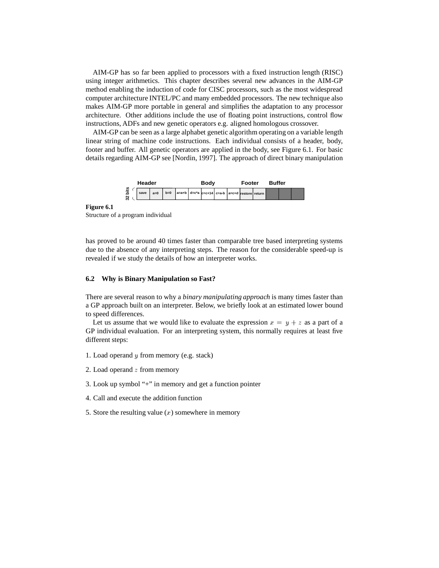AIM-GP has so far been applied to processors with a fixed instruction length (RISC) using integer arithmetics. This chapter describes several new advances in the AIM-GP method enabling the induction of code for CISC processors, such as the most widespread computer architecture INTEL/PC and many embedded processors. The new technique also makes AIM-GP more portable in general and simplifies the adaptation to any processor architecture. Other additions include the use of floating point instructions, control flow instructions, ADFs and new genetic operators e.g. aligned homologous crossover.

AIM-GP can be seen as a large alphabet genetic algorithm operating on a variable length linear string of machine code instructions. Each individual consists of a header, body, footer and buffer. All genetic operators are applied in the body, see Figure 6.1. For basic details regarding AIM-GP see [Nordin, 1997]. The approach of direct binary manipulation



**Figure 6.1**

Structure of a program individual

has proved to be around 40 times faster than comparable tree based interpreting systems due to the absence of any interpreting steps. The reason for the considerable speed-up is revealed if we study the details of how an interpreter works.

## **6.2 Why is Binary Manipulation so Fast?**

There are several reason to why a *binary manipulating approach* is many times faster than a GP approach built on an interpreter. Below, we briefly look at an estimated lower bound to speed differences.

Let us assume that we would like to evaluate the expression  $x = y + z$  as a part of a GP individual evaluation. For an interpreting system, this normally requires at least five different steps:

- 1. Load operand <sup>y</sup> from memory (e.g. stack)
- 2. Load operand  $z$  from memory
- 3. Look up symbol "+" in memory and get a function pointer
- 4. Call and execute the addition function
- 5. Store the resulting value  $(x)$  somewhere in memory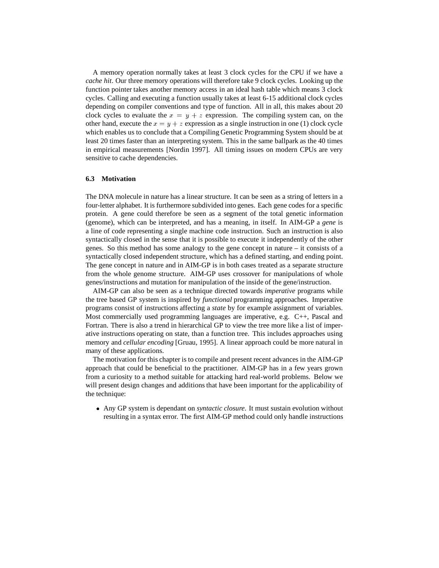A memory operation normally takes at least 3 clock cycles for the CPU if we have a *cache hit*. Our three memory operations will therefore take 9 clock cycles. Looking up the function pointer takes another memory access in an ideal hash table which means 3 clock cycles. Calling and executing a function usually takes at least 6-15 additional clock cycles depending on compiler conventions and type of function. All in all, this makes about 20 clock cycles to evaluate the  $x = y + z$  expression. The compiling system can, on the other hand, execute the  $x = y + z$  expression as a single instruction in one (1) clock cycle which enables us to conclude that a Compiling Genetic Programming System should be at least 20 times faster than an interpreting system. This in the same ballpark as the 40 times in empirical measurements [Nordin 1997]. All timing issues on modern CPUs are very sensitive to cache dependencies.

#### **6.3 Motivation**

The DNA molecule in nature has a linear structure. It can be seen as a string of letters in a four-letter alphabet. It is furthermore subdivided into genes. Each gene codes for a specific protein. A gene could therefore be seen as a segment of the total genetic information (genome), which can be interpreted, and has a meaning, in itself. In AIM-GP a *gene* is a line of code representing a single machine code instruction. Such an instruction is also syntactically closed in the sense that it is possible to execute it independently of the other genes. So this method has some analogy to the gene concept in nature – it consists of a syntactically closed independent structure, which has a defined starting, and ending point. The gene concept in nature and in AIM-GP is in both cases treated as a separate structure from the whole genome structure. AIM-GP uses crossover for manipulations of whole genes/instructions and mutation for manipulation of the inside of the gene/instruction.

AIM-GP can also be seen as a technique directed towards *imperative* programs while the tree based GP system is inspired by *functional* programming approaches. Imperative programs consist of instructions affecting a *state* by for example assignment of variables. Most commercially used programming languages are imperative, e.g. C++, Pascal and Fortran. There is also a trend in hierarchical GP to view the tree more like a list of imperative instructions operating on state, than a function tree. This includes approaches using memory and *cellular encoding* [Gruau, 1995]. A linear approach could be more natural in many of these applications.

The motivation for this chapter is to compile and present recent advances in the AIM-GP approach that could be beneficial to the practitioner. AIM-GP has in a few years grown from a curiosity to a method suitable for attacking hard real-world problems. Below we will present design changes and additions that have been important for the applicability of the technique:

 Any GP system is dependant on *syntactic closure*. It must sustain evolution without resulting in a syntax error. The first AIM-GP method could only handle instructions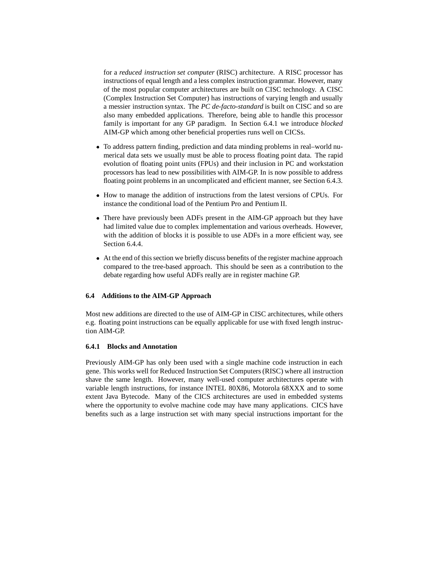for a *reduced instruction set computer* (RISC) architecture. A RISC processor has instructions of equal length and a less complex instruction grammar. However, many of the most popular computer architectures are built on CISC technology. A CISC (Complex Instruction Set Computer) has instructions of varying length and usually a messier instruction syntax. The *PC de-facto-standard* is built on CISC and so are also many embedded applications. Therefore, being able to handle this processor family is important for any GP paradigm. In Section 6.4.1 we introduce *blocked* AIM-GP which among other beneficial properties runs well on CICSs.

- To address pattern finding, prediction and data minding problems in real–world numerical data sets we usually must be able to process floating point data. The rapid evolution of floating point units (FPUs) and their inclusion in PC and workstation processors has lead to new possibilities with AIM-GP. In is now possible to address floating point problems in an uncomplicated and efficient manner, see Section 6.4.3.
- $\bullet$  How to manage the addition of instructions from the latest versions of CPUs. For instance the conditional load of the Pentium Pro and Pentium II.
- There have previously been ADFs present in the AIM-GP approach but they have had limited value due to complex implementation and various overheads. However, with the addition of blocks it is possible to use ADFs in a more efficient way, see Section 6.4.4.
- At the end of this section we briefly discuss benefits of the register machine approach compared to the tree-based approach. This should be seen as a contribution to the debate regarding how useful ADFs really are in register machine GP.

## **6.4 Additions to the AIM-GP Approach**

Most new additions are directed to the use of AIM-GP in CISC architectures, while others e.g. floating point instructions can be equally applicable for use with fixed length instruction AIM-GP.

## **6.4.1 Blocks and Annotation**

Previously AIM-GP has only been used with a single machine code instruction in each gene. This works well for Reduced Instruction Set Computers (RISC) where all instruction shave the same length. However, many well-used computer architectures operate with variable length instructions, for instance INTEL 80X86, Motorola 68XXX and to some extent Java Bytecode. Many of the CICS architectures are used in embedded systems where the opportunity to evolve machine code may have many applications. CICS have benefits such as a large instruction set with many special instructions important for the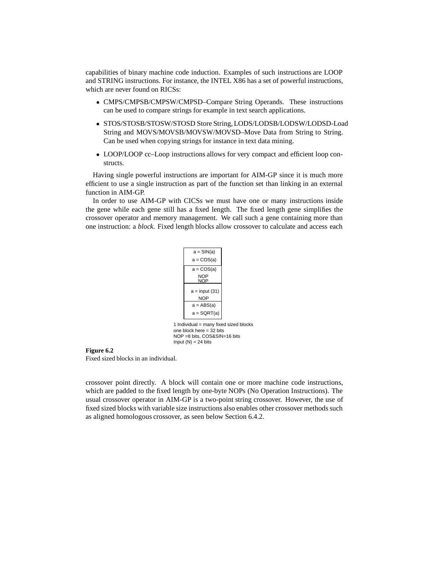capabilities of binary machine code induction. Examples of such instructions are LOOP and STRING instructions. For instance, the INTEL X86 has a set of powerful instructions, which are never found on RICSs:

- CMPS/CMPSB/CMPSW/CMPSD–Compare String Operands. These instructions can be used to compare strings for example in text search applications.
- STOS/STOSB/STOSW/STOSD Store String, LODS/LODSB/LODSW/LODSD-Load String and MOVS/MOVSB/MOVSW/MOVSD–Move Data from String to String. Can be used when copying strings for instance in text data mining.
- LOOP/LOOP cc–Loop instructions allows for very compact and efficient loop constructs.

Having single powerful instructions are important for AIM-GP since it is much more efficient to use a single instruction as part of the function set than linking in an external function in AIM-GP.

In order to use AIM-GP with CICSs we must have one or many instructions inside the gene while each gene still has a fixed length. The fixed length gene simplifies the crossover operator and memory management. We call such a gene containing more than one instruction: a *block*. Fixed length blocks allow crossover to calculate and access each

| $a = SIM(a)$    |  |
|-----------------|--|
| a = COS(a)      |  |
| $a = COS(a)$    |  |
| NOP<br>NOP      |  |
| $a = input(31)$ |  |
| <b>NOP</b>      |  |
| a = ABS(a)      |  |
| a = SQRT(a)     |  |
|                 |  |

1 Individual = many fixed sized blocks one block here  $= 32$  bits NOP =8 bits, COS&SIN=16 bits Input  $(N) = 24$  bits

#### **Figure 6.2**

Fixed sized blocks in an individual.

crossover point directly. A block will contain one or more machine code instructions, which are padded to the fixed length by one-byte NOPs (No Operation Instructions). The usual crossover operator in AIM-GP is a two-point string crossover. However, the use of fixed sized blocks with variable size instructions also enables other crossover methods such as aligned homologous crossover, as seen below Section 6.4.2.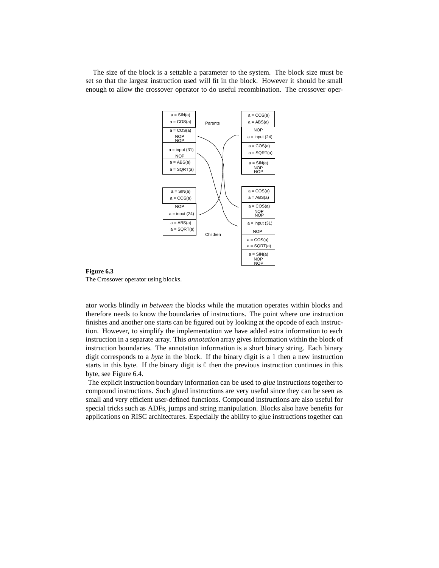The size of the block is a settable a parameter to the system. The block size must be set so that the largest instruction used will fit in the block. However it should be small enough to allow the crossover operator to do useful recombination. The crossover oper-





ator works blindly *in between* the blocks while the mutation operates within blocks and therefore needs to know the boundaries of instructions. The point where one instruction finishes and another one starts can be figured out by looking at the opcode of each instruction. However, to simplify the implementation we have added extra information to each instruction in a separate array. This *annotation* array gives information within the block of instruction boundaries. The annotation information is a short binary string. Each binary digit corresponds to a *byte* in the block. If the binary digit is a <sup>1</sup> then a new instruction starts in this byte. If the binary digit is <sup>0</sup> then the previous instruction continues in this byte, see Figure 6.4.

The explicit instruction boundary information can be used to *glue* instructions together to compound instructions. Such glued instructions are very useful since they can be seen as small and very efficient user-defined functions. Compound instructions are also useful for special tricks such as ADFs, jumps and string manipulation. Blocks also have benefits for applications on RISC architectures. Especially the ability to glue instructions together can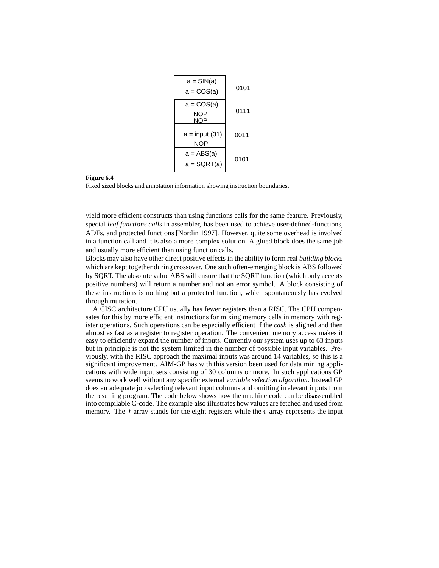

#### **Figure 6.4**

Fixed sized blocks and annotation information showing instruction boundaries.

yield more efficient constructs than using functions calls for the same feature. Previously, special *leaf functions calls* in assembler, has been used to achieve user-defined-functions, ADFs, and protected functions [Nordin 1997]. However, quite some overhead is involved in a function call and it is also a more complex solution. A glued block does the same job and usually more efficient than using function calls.

Blocks may also have other direct positive effects in the ability to form real *building blocks* which are kept together during crossover. One such often-emerging block is ABS followed by SQRT. The absolute value ABS will ensure that the SQRT function (which only accepts positive numbers) will return a number and not an error symbol. A block consisting of these instructions is nothing but a protected function, which spontaneously has evolved through mutation.

A CISC architecture CPU usually has fewer registers than a RISC. The CPU compensates for this by more efficient instructions for mixing memory cells in memory with register operations. Such operations can be especially efficient if the *cash* is aligned and then almost as fast as a register to register operation. The convenient memory access makes it easy to efficiently expand the number of inputs. Currently our system uses up to 63 inputs but in principle is not the system limited in the number of possible input variables. Previously, with the RISC approach the maximal inputs was around 14 variables, so this is a significant improvement. AIM-GP has with this version been used for data mining applications with wide input sets consisting of 30 columns or more. In such applications GP seems to work well without any specific external *variable selection algorithm*. Instead GP does an adequate job selecting relevant input columns and omitting irrelevant inputs from the resulting program. The code below shows how the machine code can be disassembled into compilable C-code. The example also illustrates how values are fetched and used from memory. The  $f$  array stands for the eight registers while the  $v$  array represents the input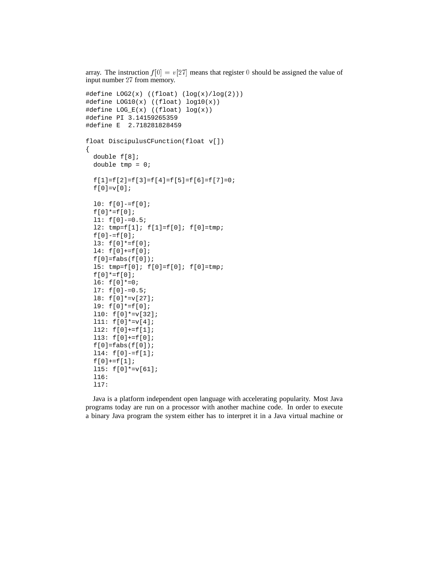```
array. The instruction f[0] = v[27] means that register 0 should be assigned the value of
input number 27 from memory.
```

```
#define LOG2(x) ((float) (log(x)/log(2)))
#define LOG10(x) ((float) log10(x))
#define LOG_E(x) ((float) log(x))
#define PI 3.14159265359
#define E 2.718281828459
float DiscipulusCFunction(float v[])
{
 double f[8];
 double tmp = 0;f[1]=f[2]=f[3]=f[4]=f[5]=f[6]=f[7]=0;f[0]=v[0];10: f[0]-=f[0];f[0]*=f[0];l1: f[0]-=0.5;
 12: tmp=f[1]; f[1]=f[0]; f[0]=tmp;f[0]-=f[0];
 l3: f[0]*=f[0];
 l4: f[0]+=f[0];
 f[0]=fabs(f[0]);15: tmp=f[0]; f[0]=f[0]; f[0]=tmp;f[0]*=f[0];16: f[0]*=0;l7: f[0]-=0.5;
 l8: f[0]*=v[27];
 l9: f[0]*=f[0];
 l10: f[0]*=v[32];
 111: f[0]*=v[4];
 112: f[0]+=f[1];l13: f[0]+=f[0];
 f[0]=fabs(f[0]);114: f[0]-=f[1];f[0] += f[1];l15: f[0]*=v[61];
 l16:
 l17:
```
Java is a platform independent open language with accelerating popularity. Most Java programs today are run on a processor with another machine code. In order to execute a binary Java program the system either has to interpret it in a Java virtual machine or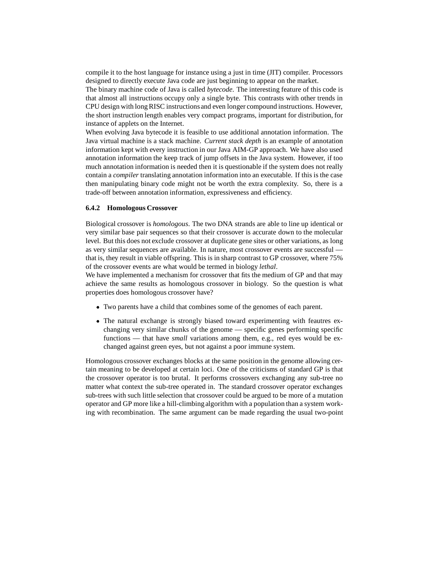compile it to the host language for instance using a just in time (JIT) compiler. Processors designed to directly execute Java code are just beginning to appear on the market.

The binary machine code of Java is called *bytecode*. The interesting feature of this code is that almost all instructions occupy only a single byte. This contrasts with other trends in CPU design with long RISC instructionsand even longer compound instructions. However, the short instruction length enables very compact programs, important for distribution, for instance of applets on the Internet.

When evolving Java bytecode it is feasible to use additional annotation information. The Java virtual machine is a stack machine. *Current stack depth* is an example of annotation information kept with every instruction in our Java AIM-GP approach. We have also used annotation information the keep track of jump offsets in the Java system. However, if too much annotation information is needed then it is questionable if the system does not really contain a *compiler* translating annotation information into an executable. If this is the case then manipulating binary code might not be worth the extra complexity. So, there is a trade-off between annotation information, expressiveness and efficiency.

## **6.4.2 Homologous Crossover**

Biological crossover is *homologous*. The two DNA strands are able to line up identical or very similar base pair sequences so that their crossover is accurate down to the molecular level. But this does not exclude crossover at duplicate gene sites or other variations, as long as very similar sequences are available. In nature, most crossover events are successful that is, they result in viable offspring. This is in sharp contrast to GP crossover, where 75% of the crossover events are what would be termed in biology *lethal*.

We have implemented a mechanism for crossover that fits the medium of GP and that may achieve the same results as homologous crossover in biology. So the question is what properties does homologous crossover have?

- Two parents have a child that combines some of the genomes of each parent.
- The natural exchange is strongly biased toward experimenting with feautres exchanging very similar chunks of the genome — specific genes performing specific functions — that have *small* variations among them, e.g., red eyes would be exchanged against green eyes, but not against a poor immune system.

Homologous crossover exchanges blocks at the same position in the genome allowing certain meaning to be developed at certain loci. One of the criticisms of standard GP is that the crossover operator is too brutal. It performs crossovers exchanging any sub-tree no matter what context the sub-tree operated in. The standard crossover operator exchanges sub-trees with such little selection that crossover could be argued to be more of a mutation operator and GP more like a hill-climbing algorithm with a population than a system working with recombination. The same argument can be made regarding the usual two-point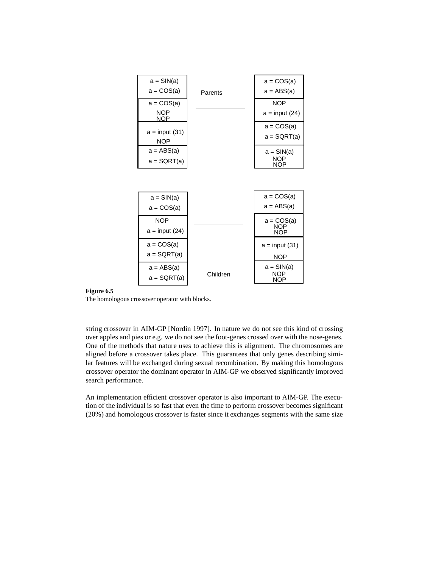| $a = SIM(a)$<br>$a = COS(a)$             | Parents  | $a = COS(a)$<br>$a = ABS(a)$             |
|------------------------------------------|----------|------------------------------------------|
| $a = COS(a)$<br><b>NOP</b><br><b>NOP</b> |          | <b>NOP</b><br>$a = input (24)$           |
| $a = input(31)$<br><b>NOP</b>            |          | $a = COS(a)$<br>a = SQRT(a)              |
| $a = ABS(a)$<br>a = SQRT(a)              |          | $a = SIM(a)$<br><b>NOP</b><br><b>NOP</b> |
|                                          |          |                                          |
| $a = SIM(a)$<br>$a = COS(a)$             |          | $a = COS(a)$<br>$a = ABS(a)$             |
| <b>NOP</b><br>a = input (24)             |          | $a = COS(a)$<br>NOP<br><b>NOP</b>        |
| $a = COS(a)$<br>$a = SQRT(a)$            |          | $a = input(31)$<br><b>NOP</b>            |
| $a = ABS(a)$<br>$a = SQRT(a)$            | Children | $a = SIM(a)$<br>NOP<br>NOP               |

## **Figure 6.5**

The homologous crossover operator with blocks.

string crossover in AIM-GP [Nordin 1997]. In nature we do not see this kind of crossing over apples and pies or e.g. we do not see the foot-genes crossed over with the nose-genes. One of the methods that nature uses to achieve this is alignment. The chromosomes are aligned before a crossover takes place. This guarantees that only genes describing similar features will be exchanged during sexual recombination. By making this homologous crossover operator the dominant operator in AIM-GP we observed significantly improved search performance.

An implementation efficient crossover operator is also important to AIM-GP. The execution of the individual is so fast that even the time to perform crossover becomes significant (20%) and homologous crossover is faster since it exchanges segments with the same size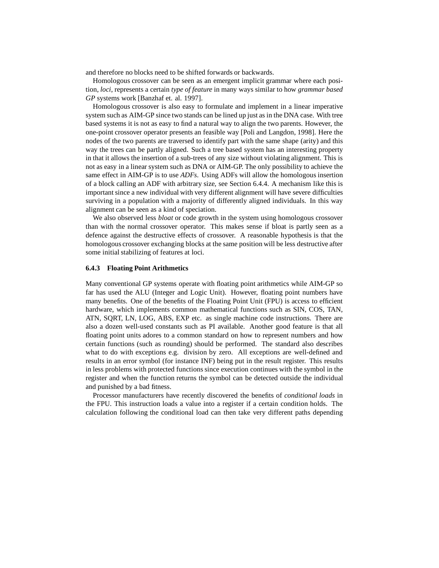and therefore no blocks need to be shifted forwards or backwards.

Homologous crossover can be seen as an emergent implicit grammar where each position, *loci*, represents a certain *type of feature* in many ways similar to how *grammar based GP* systems work [Banzhaf et. al. 1997].

Homologous crossover is also easy to formulate and implement in a linear imperative system such as AIM-GP since two stands can be lined up just as in the DNA case. With tree based systems it is not as easy to find a natural way to align the two parents. However, the one-point crossover operator presents an feasible way [Poli and Langdon, 1998]. Here the nodes of the two parents are traversed to identify part with the same shape (arity) and this way the trees can be partly aligned. Such a tree based system has an interesting property in that it allows the insertion of a sub-trees of any size without violating alignment. This is not as easy in a linear system such as DNA or AIM-GP. The only possibility to achieve the same effect in AIM-GP is to use *ADFs*. Using ADFs will allow the homologous insertion of a block calling an ADF with arbitrary size, see Section 6.4.4. A mechanism like this is important since a new individual with very different alignment will have severe difficulties surviving in a population with a majority of differently aligned individuals. In this way alignment can be seen as a kind of speciation.

We also observed less *bloat* or code growth in the system using homologous crossover than with the normal crossover operator. This makes sense if bloat is partly seen as a defence against the destructive effects of crossover. A reasonable hypothesis is that the homologous crossover exchanging blocks at the same position will be less destructive after some initial stabilizing of features at loci.

## **6.4.3 Floating Point Arithmetics**

Many conventional GP systems operate with floating point arithmetics while AIM-GP so far has used the ALU (Integer and Logic Unit). However, floating point numbers have many benefits. One of the benefits of the Floating Point Unit (FPU) is access to efficient hardware, which implements common mathematical functions such as SIN, COS, TAN, ATN, SQRT, LN, LOG, ABS, EXP etc. as single machine code instructions. There are also a dozen well-used constants such as PI available. Another good feature is that all floating point units adores to a common standard on how to represent numbers and how certain functions (such as rounding) should be performed. The standard also describes what to do with exceptions e.g. division by zero. All exceptions are well-defined and results in an error symbol (for instance INF) being put in the result register. This results in less problems with protected functions since execution continues with the symbol in the register and when the function returns the symbol can be detected outside the individual and punished by a bad fitness.

Processor manufacturers have recently discovered the benefits of *conditional loads* in the FPU. This instruction loads a value into a register if a certain condition holds. The calculation following the conditional load can then take very different paths depending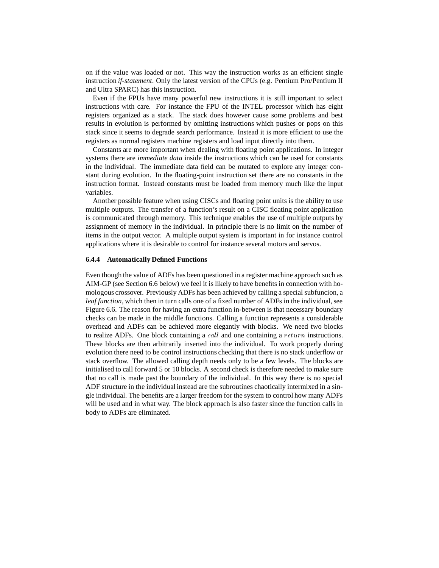on if the value was loaded or not. This way the instruction works as an efficient single instruction *if-statement*. Only the latest version of the CPUs (e.g. Pentium Pro/Pentium II and Ultra SPARC) has this instruction.

Even if the FPUs have many powerful new instructions it is still important to select instructions with care. For instance the FPU of the INTEL processor which has eight registers organized as a stack. The stack does however cause some problems and best results in evolution is performed by omitting instructions which pushes or pops on this stack since it seems to degrade search performance. Instead it is more efficient to use the registers as normal registers machine registers and load input directly into them.

Constants are more important when dealing with floating point applications. In integer systems there are *immediate data* inside the instructions which can be used for constants in the individual. The immediate data field can be mutated to explore any integer constant during evolution. In the floating-point instruction set there are no constants in the instruction format. Instead constants must be loaded from memory much like the input variables.

Another possible feature when using CISCs and floating point units is the ability to use multiple outputs. The transfer of a function's result on a CISC floating point application is communicated through memory. This technique enables the use of multiple outputs by assignment of memory in the individual. In principle there is no limit on the number of items in the output vector. A multiple output system is important in for instance control applications where it is desirable to control for instance several motors and servos.

# **6.4.4 Automatically Defined Functions**

Even though the value of ADFs has been questioned in a register machine approach such as AIM-GP (see Section 6.6 below) we feel it is likely to have benefits in connection with homologous crossover. Previously ADFs has been achieved by calling a special subfuncion, a *leaf function*, which then in turn calls one of a fixed number of ADFs in the individual, see Figure 6.6. The reason for having an extra function in-between is that necessary boundary checks can be made in the middle functions. Calling a function represents a considerable overhead and ADFs can be achieved more elegantly with blocks. We need two blocks to realize ADFs. One block containing a *call* and one containing a *return* instructions. These blocks are then arbitrarily inserted into the individual. To work properly during evolution there need to be control instructions checking that there is no stack underflow or stack overflow. The allowed calling depth needs only to be a few levels. The blocks are initialised to call forward 5 or 10 blocks. A second check is therefore needed to make sure that no call is made past the boundary of the individual. In this way there is no special ADF structure in the individual instead are the subroutines chaotically intermixed in a single individual. The benefits are a larger freedom for the system to control how many ADFs will be used and in what way. The block approach is also faster since the function calls in body to ADFs are eliminated.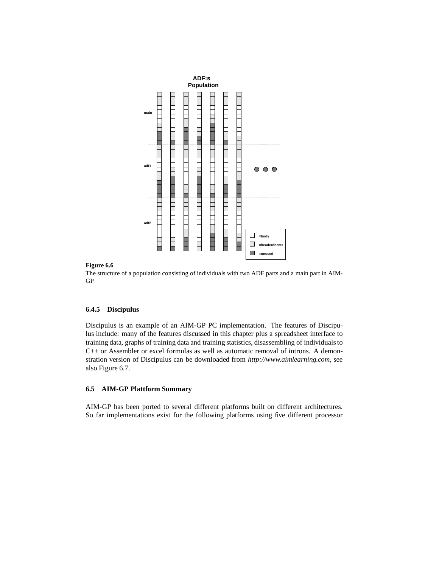

## **Figure 6.6**

The structure of a population consisting of individuals with two ADF parts and a main part in AIM-GP

## **6.4.5 Discipulus**

Discipulus is an example of an AIM-GP PC implementation. The features of Discipulus include: many of the features discussed in this chapter plus a spreadsheet interface to training data, graphs of training data and training statistics, disassembling of individuals to C++ or Assembler or excel formulas as well as automatic removal of introns. A demonstration version of Discipulus can be downloaded from *http://www.aimlearning.com*, see also Figure 6.7.

# **6.5 AIM-GP Plattform Summary**

AIM-GP has been ported to several different platforms built on different architectures. So far implementations exist for the following platforms using five different processor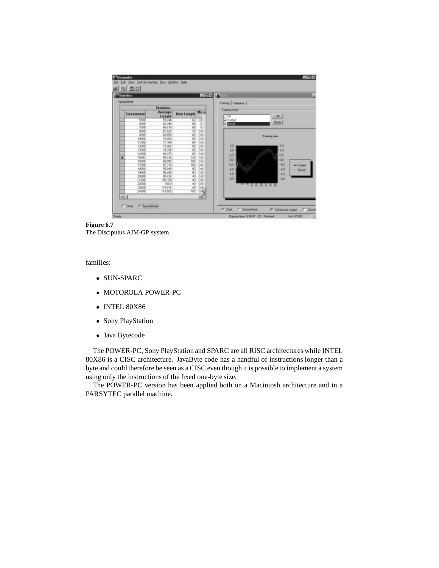| anni W<br>Statellier |                         |                  |                    |                |                                  |  |  |
|----------------------|-------------------------|------------------|--------------------|----------------|----------------------------------|--|--|
|                      | Tamazidone<br>Stanlenka |                  |                    |                | Training   Validators            |  |  |
|                      | Taureament              | Average<br>Leagh | <b>Best Length</b> | Ma -           | <b>Transity chair</b><br>逛<br>ТH |  |  |
|                      | 5000                    | 53,344           |                    | ω              | Pithusat                         |  |  |
|                      | GODS                    | 63.346           |                    |                | <b>Bow</b><br>$-1000$            |  |  |
|                      | TXII                    | 65,418           |                    |                |                                  |  |  |
|                      | 000                     | 47.04            | 6839               | SES.           |                                  |  |  |
|                      | 308                     | 43,050           |                    |                | <b>Training data</b>             |  |  |
|                      | 10000                   | 76,952           |                    |                |                                  |  |  |
|                      | 11338<br><b>LYES</b>    | 71,768           |                    | $\overline{a}$ | 15<br>r U                        |  |  |
|                      | 1,000                   | 謳                | 588                | š              |                                  |  |  |
|                      | 14000                   | <b>HIK</b>       |                    |                | 12<br>$-10$                      |  |  |
| ۶                    | 1500C                   | 89.436           | <b>TIRE</b>        | 0.1            | $-03$<br>à3                      |  |  |
|                      | WW                      | <b>BEINV</b>     | w                  | 0.4            | los<br>$-0.05$                   |  |  |
|                      | <b>TTORS</b>            |                  |                    | 0.4            | 45<br>$-13$<br>$-$ Output        |  |  |
|                      | 10000                   | 臨                | 箇                  | 0.4            | $-1.3$<br>$-1.3$                 |  |  |
|                      | TRIDE                   | 15, 430          | iit)               | <b>GB</b>      | Banik                            |  |  |
|                      | 3'YER                   | 90.434           | 46                 | $\overline{0}$ | $-4.5$<br>$-4.3$                 |  |  |
|                      | 3506                    |                  |                    |                | 49<br>$-13$                      |  |  |
|                      | 2206                    | 吸收               | 葛桜                 | 욊              | <b>AN R R R R</b>                |  |  |
|                      | 23008                   | 115,914          | u                  | 0.6            |                                  |  |  |
|                      | 16300                   | 118,982          |                    | $100 - 0.44$   |                                  |  |  |
| 41                   |                         |                  |                    | ×ī             |                                  |  |  |

**Figure 6.7**

The Discipulus AIM-GP system.

families:

- SUN-SPARC
- MOTOROLA POWER-PC
- INTEL 80X86
- Sony PlayStation
- Java Bytecode

The POWER-PC, Sony PlayStation and SPARC are all RISC architectures while INTEL 80X86 is a CISC architecture. JavaByte code has a handful of instructions longer than a byte and could therefore be seen as a CISC even though it is possible to implement a system using only the instructions of the fixed one-byte size.

The POWER-PC version has been applied both on a Macintosh architecture and in a PARSYTEC parallel machine.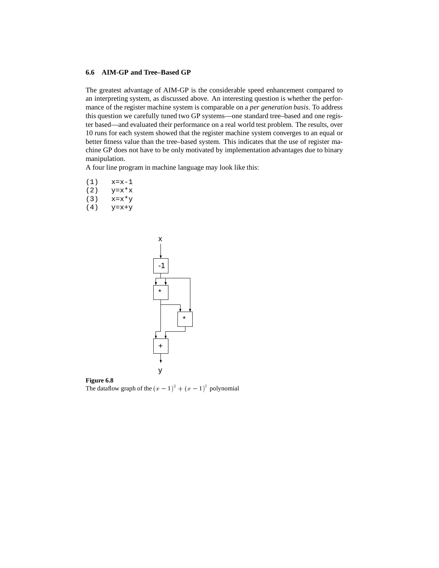## **6.6 AIM-GP and Tree–Based GP**

The greatest advantage of AIM-GP is the considerable speed enhancement compared to an interpreting system, as discussed above. An interesting question is whether the performance of the register machine system is comparable on a *per generation basis*. To address this question we carefully tuned two GP systems—one standard tree–based and one register based—and evaluated their performance on a real world test problem. The results, over 10 runs for each system showed that the register machine system converges to an equal or better fitness value than the tree–based system. This indicates that the use of register machine GP does not have to be only motivated by implementation advantages due to binary manipulation.

A four line program in machine language may look like this:

- (1) x=x-1
- $(2)$   $y=x*x$
- (3) x=x\*y
- $(4)$   $y=x+y$



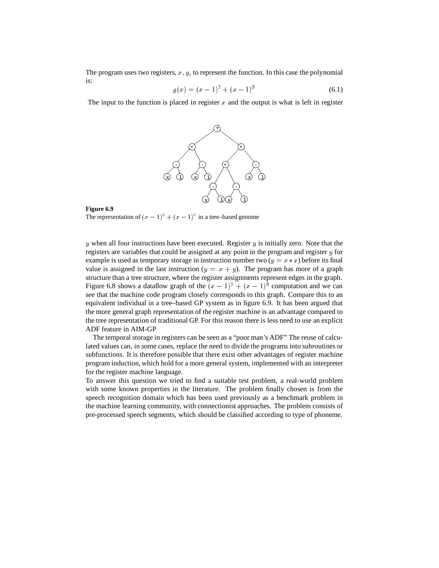The program uses two registers,  $x, y$ , to represent the function. In this case the polynomial is:

$$
g(x) = (x - 1)^2 + (x - 1)^3
$$
\n(6.1)

The input to the function is placed in register  $x$  and the output is what is left in register



#### **Figure 6.9**

The representation of  $(x - 1)^2 + (x - 1)^3$  in a tree–based genome

y when all four instructions have been executed. Register  $y$  is initially zero. Note that the registers are variables that could be assigned at any point in the program and register  $y$  for example is used as temporary storage in instruction number two  $(y = x * x)$  before its final value is assigned in the last instruction  $(y = x + y)$ . The program has more of a graph structure than a tree structure, where the register assignments represent edges in the graph. Figure 6.8 shows a dataflow graph of the  $(x - 1)^2 + (x - 1)^3$  computation and we can see that the machine code program closely corresponds to this graph. Compare this to an equivalent individual in a tree–based GP system as in figure 6.9. It has been argued that the more general graph representation of the register machine is an advantage compared to the tree representation of traditional GP. For this reason there is less need to use an explicit ADF feature in AIM-GP

The temporal storage in registers can be seen as a "poor man's ADF" The reuse of calculated values can, in some cases, replace the need to divide the programs into subroutines or subfunctions. It is therefore possible that there exist other advantages of register machine program induction, which hold for a more general system, implemented with an interpreter for the register machine language.

To answer this question we tried to find a suitable test problem, a real-world problem with some known properties in the literature. The problem finally chosen is from the speech recognition domain which has been used previously as a benchmark problem in the machine learning community, with connectionist approaches. The problem consists of pre-processed speech segments, which should be classified according to type of phoneme.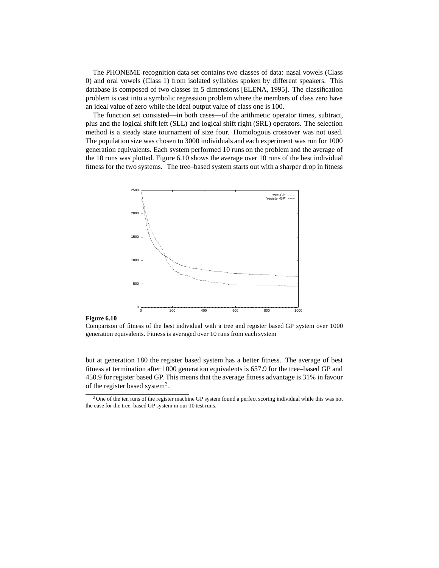The PHONEME recognition data set contains two classes of data: nasal vowels (Class 0) and oral vowels (Class 1) from isolated syllables spoken by different speakers. This database is composed of two classes in 5 dimensions [ELENA, 1995]. The classification problem is cast into a symbolic regression problem where the members of class zero have an ideal value of zero while the ideal output value of class one is 100.

The function set consisted—in both cases—of the arithmetic operator times, subtract, plus and the logical shift left (SLL) and logical shift right (SRL) operators. The selection method is a steady state tournament of size four. Homologous crossover was not used. The population size was chosen to 3000 individuals and each experiment was run for 1000 generation equivalents. Each system performed 10 runs on the problem and the average of the 10 runs was plotted. Figure 6.10 shows the average over 10 runs of the best individual fitness for the two systems. The tree–based system starts out with a sharper drop in fitness



## **Figure 6.10**

Comparison of fitness of the best individual with a tree and register based GP system over 1000 generation equivalents. Fitness is averaged over 10 runs from each system

but at generation 180 the register based system has a better fitness. The average of best fitness at termination after 1000 generation equivalents is 657.9 for the tree–based GP and 450.9 for register based GP. This means that the average fitness advantage is 31% in favour of the register based system<sup>2</sup>.

<sup>&</sup>lt;sup>2</sup>One of the ten runs of the register machine GP system found a perfect scoring individual while this was not the case for the tree–based GP system in our 10 test runs.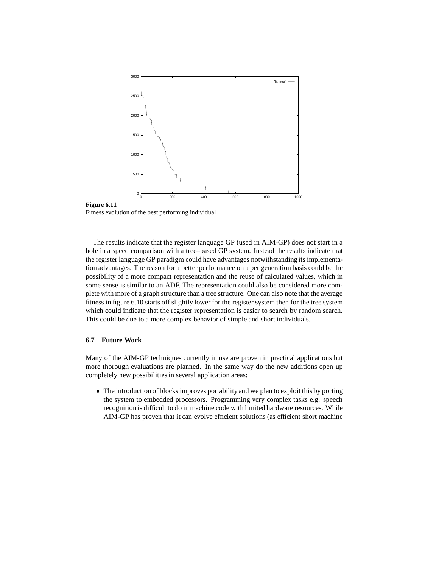

Fitness evolution of the best performing individual

The results indicate that the register language GP (used in AIM-GP) does not start in a hole in a speed comparison with a tree–based GP system. Instead the results indicate that the register language GP paradigm could have advantages notwithstanding its implementation advantages. The reason for a better performance on a per generation basis could be the possibility of a more compact representation and the reuse of calculated values, which in some sense is similar to an ADF. The representation could also be considered more complete with more of a graph structure than a tree structure. One can also note that the average fitness in figure 6.10 starts off slightly lower for the register system then for the tree system which could indicate that the register representation is easier to search by random search. This could be due to a more complex behavior of simple and short individuals.

## **6.7 Future Work**

**Figure 6.11**

Many of the AIM-GP techniques currently in use are proven in practical applications but more thorough evaluations are planned. In the same way do the new additions open up completely new possibilities in several application areas:

 The introduction of blocks improves portability and we plan to exploit this by porting the system to embedded processors. Programming very complex tasks e.g. speech recognition is difficult to do in machine code with limited hardware resources. While AIM-GP has proven that it can evolve efficient solutions (as efficient short machine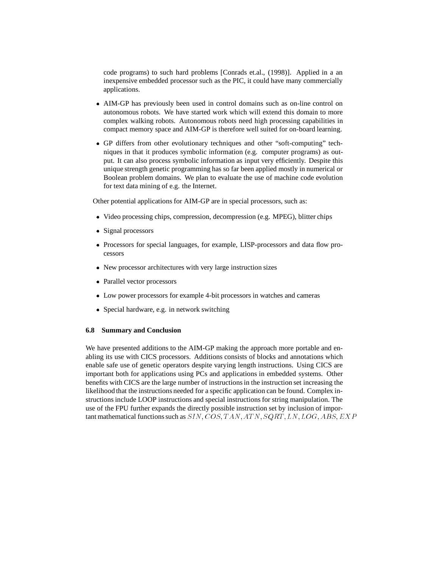code programs) to such hard problems [Conrads et.al., (1998)]. Applied in a an inexpensive embedded processor such as the PIC, it could have many commercially applications.

- AIM-GP has previously been used in control domains such as on-line control on autonomous robots. We have started work which will extend this domain to more complex walking robots. Autonomous robots need high processing capabilities in compact memory space and AIM-GP is therefore well suited for on-board learning.
- GP differs from other evolutionary techniques and other "soft-computing" techniques in that it produces symbolic information (e.g. computer programs) as output. It can also process symbolic information as input very efficiently. Despite this unique strength genetic programming has so far been applied mostly in numerical or Boolean problem domains. We plan to evaluate the use of machine code evolution for text data mining of e.g. the Internet.

Other potential applications for AIM-GP are in special processors, such as:

- Video processing chips, compression, decompression (e.g. MPEG), blitter chips
- Signal processors
- Processors for special languages, for example, LISP-processors and data flow processors
- New processor architectures with very large instruction sizes
- Parallel vector processors
- Low power processors for example 4-bit processors in watches and cameras
- Special hardware, e.g. in network switching

## **6.8 Summary and Conclusion**

We have presented additions to the AIM-GP making the approach more portable and enabling its use with CICS processors. Additions consists of blocks and annotations which enable safe use of genetic operators despite varying length instructions. Using CICS are important both for applications using PCs and applications in embedded systems. Other benefits with CICS are the large number of instructions in the instruction set increasing the likelihood that the instructions needed for a specific application can be found. Complex instructions include LOOP instructions and special instructions for string manipulation. The use of the FPU further expands the directly possible instruction set by inclusion of important mathematical functions such as  $SIN$ ,  $COS$ ,  $TAN$ ,  $ATN$ ,  $SQRT$ ,  $LN$ ,  $LOG$ ,  $ABS$ ,  $EXP$